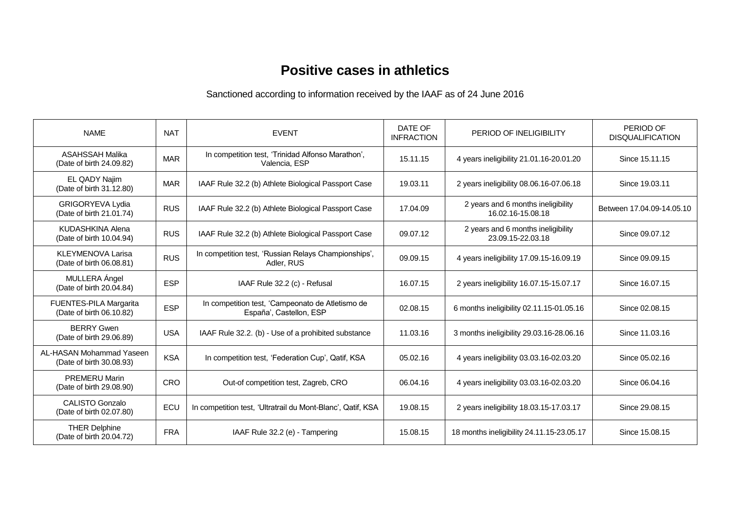## **Positive cases in athletics**

Sanctioned according to information received by the IAAF as of 24 June 2016

| <b>NAME</b>                                          | <b>NAT</b> | <b>EVENT</b>                                                                | DATE OF<br><b>INFRACTION</b> | PERIOD OF INELIGIBILITY                                 | PERIOD OF<br><b>DISQUALIFICATION</b> |
|------------------------------------------------------|------------|-----------------------------------------------------------------------------|------------------------------|---------------------------------------------------------|--------------------------------------|
| <b>ASAHSSAH Malika</b><br>(Date of birth 24.09.82)   | <b>MAR</b> | In competition test, 'Trinidad Alfonso Marathon',<br>Valencia, ESP          | 15.11.15                     | 4 years ineligibility 21.01.16-20.01.20                 | Since 15.11.15                       |
| EL QADY Najim<br>(Date of birth 31.12.80)            | <b>MAR</b> | IAAF Rule 32.2 (b) Athlete Biological Passport Case                         | 19.03.11                     | 2 years ineligibility 08.06.16-07.06.18                 | Since 19,03.11                       |
| GRIGORYEVA Lydia<br>(Date of birth 21.01.74)         | <b>RUS</b> | IAAF Rule 32.2 (b) Athlete Biological Passport Case                         | 17.04.09                     | 2 years and 6 months ineligibility<br>16.02.16-15.08.18 | Between 17.04.09-14.05.10            |
| KUDASHKINA Alena<br>(Date of birth 10.04.94)         | <b>RUS</b> | IAAF Rule 32.2 (b) Athlete Biological Passport Case                         | 09.07.12                     | 2 years and 6 months ineligibility<br>23.09.15-22.03.18 | Since 09.07.12                       |
| <b>KLEYMENOVA Larisa</b><br>(Date of birth 06.08.81) | <b>RUS</b> | In competition test, 'Russian Relays Championships',<br>Adler, RUS          | 09.09.15                     | 4 years ineligibility 17.09.15-16.09.19                 | Since 09.09.15                       |
| MULLERA Ángel<br>(Date of birth 20.04.84)            | <b>ESP</b> | IAAF Rule 32.2 (c) - Refusal                                                | 16.07.15                     | 2 years ineligibility 16.07.15-15.07.17                 | Since 16.07.15                       |
| FUENTES-PILA Margarita<br>(Date of birth 06.10.82)   | <b>ESP</b> | In competition test, 'Campeonato de Atletismo de<br>España', Castellon, ESP | 02.08.15                     | 6 months ineligibility 02.11.15-01.05.16                | Since 02.08.15                       |
| <b>BERRY Gwen</b><br>(Date of birth 29.06.89)        | <b>USA</b> | IAAF Rule 32.2. (b) - Use of a prohibited substance                         | 11.03.16                     | 3 months ineligibility 29.03.16-28.06.16                | Since 11.03.16                       |
| AL-HASAN Mohammad Yaseen<br>(Date of birth 30.08.93) | <b>KSA</b> | In competition test, 'Federation Cup', Qatif, KSA                           | 05.02.16                     | 4 years ineligibility 03.03.16-02.03.20                 | Since 05.02.16                       |
| <b>PREMERU Marin</b><br>(Date of birth 29.08.90)     | CRO        | Out-of competition test, Zagreb, CRO                                        | 06.04.16                     | 4 years ineligibility 03.03.16-02.03.20                 | Since 06.04.16                       |
| <b>CALISTO Gonzalo</b><br>(Date of birth 02.07.80)   | ECU        | In competition test, 'Ultratrail du Mont-Blanc', Qatif, KSA                 | 19.08.15                     | 2 years ineligibility 18.03.15-17.03.17                 | Since 29,08,15                       |
| <b>THER Delphine</b><br>(Date of birth 20.04.72)     | <b>FRA</b> | IAAF Rule 32.2 (e) - Tampering                                              | 15.08.15                     | 18 months ineligibility 24.11.15-23.05.17               | Since 15,08,15                       |